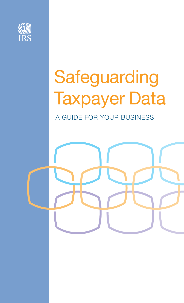

# Safeguarding Taxpayer Data

A GUIDE FOR YOUR BUSINESS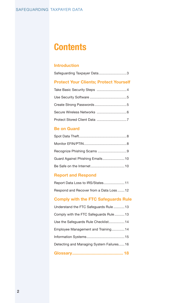# **Contents**

### **[Introduction](#page-2-0)**

| Safeguarding Taxpayer Data3                   |
|-----------------------------------------------|
| <b>Protect Your Clients; Protect Yourself</b> |
|                                               |
|                                               |
|                                               |
|                                               |
|                                               |

### **[Be on Guard](#page-7-0)**

| Guard Against Phishing Emails 10 |  |
|----------------------------------|--|
|                                  |  |

### **[Report and Respond](#page-10-0)**

| Report Data Loss to IRS/States11         |  |
|------------------------------------------|--|
| Respond and Recover from a Data Loss  12 |  |

### **[Comply with the FTC Safeguards Rule](#page-12-0)**

| Understand the FTC Safeguards Rule 13    |  |
|------------------------------------------|--|
| Comply with the FTC Safeguards Rule13    |  |
| Use the Safeguards Rule Checklist 14     |  |
| Employee Management and Training14       |  |
|                                          |  |
| Detecting and Managing System Failures16 |  |
|                                          |  |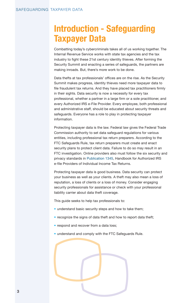# <span id="page-2-0"></span>**Introduction - Safeguarding Taxpayer Data**

Combatting today's cybercriminals takes all of us working together. The Internal Revenue Service works with state tax agencies and the tax industry to fight these 21st century identity thieves. After forming the Security Summit and enacting a series of safeguards, the partners are making inroads. But, there's more work to be done.

Data thefts at tax professionals' offices are on the rise. As the Security Summit makes progress, identity thieves need more taxpayer data to file fraudulent tax returns. And they have placed tax practitioners firmly in their sights. Data security is now a necessity for every tax professional, whether a partner in a large firm or a sole practitioner, and every Authorized IRS e-File Provider. Every employee, both professional and administrative staff, should be educated about security threats and safeguards. Everyone has a role to play in protecting taxpayer information.

Protecting taxpayer data is the law. Federal law gives the Federal Trade Commission authority to set data safeguard regulations for various entities, including professional tax return preparers. According to the FTC Safeguards Rule, tax return preparers must create and enact security plans to protect client data. Failure to do so may result in an FTC investigation. Online providers also must follow the six security and privacy standards in [Publication 1345](https://www.irs.gov/pub/irs-pdf/p1345.pdf), Handbook for Authorized IRS e-file Providers of Individual Income Tax Returns.

Protecting taxpayer data is good business. Data security can protect your business as well as your clients. A theft may also mean a loss of reputation, a loss of clients or a loss of money. Consider engaging security professionals for assistance or check with your professional liability carrier about data theft coverage.

This guide seeks to help tax professionals to:

- understand basic security steps and how to take them;
- recognize the signs of data theft and how to report data theft;
- respond and recover from a data loss;
- understand and comply with the FTC Safeguards Rule.

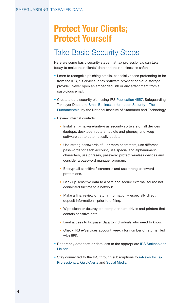# <span id="page-3-0"></span>**Protect Your Clients; Protect Yourself**

### Take Basic Security Steps

Here are some basic security steps that tax professionals can take today to make their clients' data and their businesses safer:

- Learn to recognize phishing emails, especially those pretending to be from the IRS, e-Services, a tax software provider or cloud storage provider. Never open an embedded link or any attachment from a suspicious email.
- Create a data security plan using IRS [Publication 4557,](https://www.irs.gov/pub/irs-pdf/p4557.pdf) Safeguarding Taxpayer Data, and [Small Business Information Security – The](http://nvlpubs.nist.gov/nistpubs/ir/2016/NIST.IR.7621r1.pdf)  [Fundamentals](http://nvlpubs.nist.gov/nistpubs/ir/2016/NIST.IR.7621r1.pdf), by the National Institute of Standards and Technology.
- Review internal controls:
	- Install anti-malware/anti-virus security software on all devices (laptops, desktops, routers, tablets and phones) and keep software set to automatically update.
	- Use strong passwords of 8 or more characters, use different passwords for each account, use special and alphanumeric characters, use phrases, password protect wireless devices and consider a password manager program.
	- Encrypt all sensitive files/emails and use strong password protections.
	- Back up sensitive data to a safe and secure external source not connected fulltime to a network.
	- Make a final review of return information especially direct deposit information - prior to e-filing.
	- Wipe clean or destroy old computer hard drives and printers that contain sensitive data.
	- Limit access to taxpayer data to individuals who need to know.
	- Check IRS e-Services account weekly for number of returns filed with EFIN.
- Report any data theft or data loss to the appropriate IRS Stakeholder [Liaison](https://www.irs.gov/businesses/small-businesses-self-employed/stakeholder-liaison-local-contacts).
- Stay connected to the IRS through subscriptions to e-News for Tax [Professionals](https://www.irs.gov/e-file-providers/join-e-news-for-tax-professionals), [QuickAlert](https://www.irs.gov/e-file-providers/subscribe-to-quick-alerts)s and [Social Media](https://www.irs.gov/newsroom/irs-new-media-1).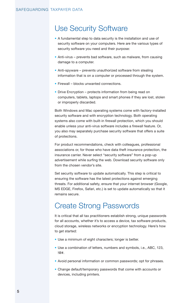### <span id="page-4-0"></span>Use Security Software

- A fundamental step to data security is the installation and use of security software on your computers. Here are the various types of security software you need and their purpose:
- Anti-virus prevents bad software, such as malware, from causing damage to a computer.
- Anti-spyware prevents unauthorized software from stealing information that is on a computer or processed through the system.
- Firewall blocks unwanted connections.
- Drive Encryption protects information from being read on computers, tablets, laptops and smart phones if they are lost, stolen or improperly discarded.

Both Windows and Mac operating systems come with factory-installed security software and with encryption technology. Both operating systems also come with built-in firewall protection, which you should enable unless your anti-virus software includes a firewall feature. Or, you also may separately purchase security software that offers a suite of protections.

For product recommendations, check with colleagues, professional associations or, for those who have data theft insurance protection, the insurance carrier. Never select "security software" from a pop-up advertisement while surfing the web. Download security software only from the chosen vendor's site.

Set security software to update automatically. This step is critical to ensuring the software has the latest protections against emerging threats. For additional safety, ensure that your internet browser (Google, MS EDGE, Firefox, Safari, etc.) is set to update automatically so that it remains secure.

### Create Strong Passwords

It is critical that all tax practitioners establish strong, unique passwords for all accounts, whether it's to access a device, tax software products, cloud storage, wireless networks or encryption technology. Here's how to get started:

- Use a minimum of eight characters; longer is better.
- Use a combination of letters, numbers and symbols, i.e., ABC, 123, !@#.
- Avoid personal information or common passwords; opt for phrases.
- Change default/temporary passwords that come with accounts or devices, including printers.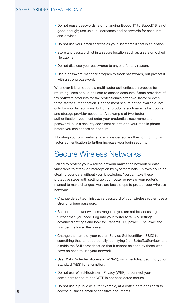- <span id="page-5-0"></span>• Do not reuse passwords, e.g., changing Bgood!17 to Bgood!18 is not good enough; use unique usernames and passwords for accounts and devices.
- Do not use your email address as your username if that is an option.
- Store any password list in a secure location such as a safe or locked file cabinet.
- Do not disclose your passwords to anyone for any reason.
- Use a password manager program to track passwords, but protect it with a strong password.

Whenever it is an option, a multi-factor authentication process for returning users should be used to access accounts. Some providers of tax software products for tax professionals offer two-factor or even three-factor authentication. Use the most secure option available, not only for your tax software, but other products such as email accounts and storage provider accounts. An example of two-factor authentication: you must enter your credentials (username and password) plus a security code sent as a text to your mobile phone before you can access an account.

If hosting your own website, also consider some other form of multifactor authentication to further increase your login security.

### Secure Wireless Networks

Failing to protect your wireless network makes the network or data vulnerable to attack or interception by cybercriminals. Thieves could be stealing your data without your knowledge. You can take these protective steps with setting up your router or review your router's manual to make changes. Here are basic steps to protect your wireless network:

- Change default administrative password of your wireless router; use a strong, unique password.
- Reduce the power (wireless range) so you are not broadcasting further than you need. Log into your router to WLAN settings, advanced settings and look for Transmit (TX) power. The lower the number the lower the power.
- Change the name of your router (Service Set Identifier SSID) to something that is not personally identifying (i.e., BobsTaxService), and disable the SSID broadcast so that it cannot be seen by those who have no need to use your network.
- Use Wi-Fi Protected Access 2 (WPA-2), with the Advanced Encryption Standard (AES) for encryption.
- Do not use Wired-Equivalent Privacy (WEP) to connect your computers to the router; WEP is not considered secure.
- Do not use a public wi-fi (for example, at a coffee café or airport) to access business email or sensitive documents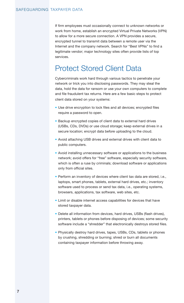<span id="page-6-0"></span>If firm employees must occasionally connect to unknown networks or work from home, establish an encrypted Virtual Private Networks (VPN) to allow for a more secure connection. A VPN provides a secure, encrypted tunnel to transmit data between a remote user via the Internet and the company network. Search for "Best VPNs" to find a legitimate vendor; major technology sites often provide lists of top services.

### Protect Stored Client Data

Cybercriminals work hard through various tactics to penetrate your network or trick you into disclosing passwords. They may steal the data, hold the data for ransom or use your own computers to complete and file fraudulent tax returns. Here are a few basic steps to protect client data stored on your systems:

- Use drive encryption to lock files and all devices; encrypted files require a password to open.
- Backup encrypted copies of client data to external hard drives (USBs, CDs, DVDs) or use cloud storage; keep external drives in a secure location; encrypt data before uploading to the cloud.
- Avoid attaching USB drives and external drives with client data to public computers.
- Avoid installing unnecessary software or applications to the business network; avoid offers for "free" software, especially security software, which is often a ruse by criminals; download software or applications only from official sites.
- Perform an inventory of devices where client tax data are stored, i.e., laptops, smart phones, tablets, external hard drives, etc.; inventory software used to process or send tax data, i.e., operating systems, browsers, applications, tax software, web sites, etc.
- Limit or disable internet access capabilities for devices that have stored taxpayer data.
- Delete all information from devices, hard drives, USBs (flash drives), printers, tablets or phones before disposing of devices; some security software include a "shredder" that electronically destroys stored files.
- Physically destroy hard drives, tapes, USBs, CDs, tablets or phones by crushing, shredding or burning; shred or burn all documents containing taxpayer information before throwing away.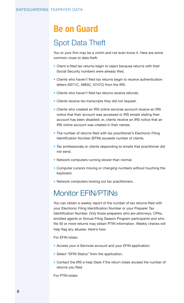# <span id="page-7-0"></span>**Be on Guard**

### Spot Data Theft

You or your firm may be a victim and not even know it. Here are some common clues to data theft:

- Client e-filed tax returns begin to reject because returns with their Social Security numbers were already filed.
- Clients who haven't filed tax returns begin to receive authentication letters (5071C, 4883C, 5747C) from the IRS.
- Clients who haven't filed tax returns receive refunds.
- Clients receive tax transcripts they did not request.
- Clients who created an IRS online services account receive an IRS notice that their account was accessed or IRS emails stating their account has been disabled; or, clients receive an IRS notice that an IRS online account was created in their names.
- The number of returns filed with tax practitioner's Electronic Filing Identification Number (EFIN) exceeds number of clients.
- Tax professionals or clients responding to emails that practitioner did not send.
- Network computers running slower than normal.
- Computer cursors moving or changing numbers without touching the keyboard.
- Network computers locking out tax practitioners.

### Monitor EFIN/PTINs

You can obtain a weekly report of the number of tax returns filed with your Electronic Filing Identification Number or your Preparer Tax Identification Number. Only those preparers who are attorneys, CPAs, enrolled agents or Annual Filing Season Program participants and who file 50 or more returns may obtain PTIN information. Weekly checks will help flag any abuses. Here's how:

For EFIN totals:

- Access your e-Services account and your EFIN application;
- Select "EFIN Status" from the application;
- Contact the IRS e-help Desk if the return totals exceed the number of returns you filed.

For PTIN totals: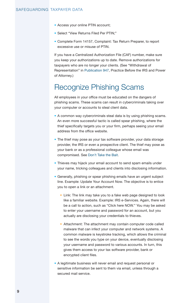- <span id="page-8-0"></span>• Access your online PTIN account;
- Select "View Returns Filed Per PTIN;"
- Complete Form 14157, Complaint: Tax Return Preparer, to report excessive use or misuse of PTIN.

If you have a Centralized Authorization File (CAF) number, make sure you keep your authorizations up to date. Remove authorizations for taxpayers who are no longer your clients. (See "Withdrawal of Representation" in [Publication 947](https://www.irs.gov/pub/irs-pdf/p947.pdf), Practice Before the IRS and Power of Attorney.)

### Recognize Phishing Scams

All employees in your office must be educated on the dangers of phishing scams. These scams can result in cybercriminals taking over your computer or accounts to steal client data.

- A common way cybercriminals steal data is by using phishing scams. An even more successful tactic is called spear phishing, where the thief specifically targets you or your firm, perhaps seeing your email address from the office website.
- The thief may pose as your tax software provider, your data storage provider, the IRS or even a prospective client. The thief may pose as your bank or as a professional colleague whose email was compromised. See [Don't Take the Bait.](https://www.irs.gov/e-file-providers/dont-take-the-bait)
- Thieves may hijack your email account to send spam emails under your name, tricking colleagues and clients into disclosing information.
- Generally, phishing or spear phishing emails have an urgent subject line. Example: Update Your Account Now. The objective is to entice you to open a link or an attachment.
	- Link: The link may take you to a fake web page designed to look like a familiar website. Example: IRS e-Services. Again, there will be a call to action, such as "Click here NOW." You may be asked to enter your username and password for an account, but you actually are disclosing your credentials to thieves.
	- Attachment: The attachment may contain computer code called malware that can infect your computer and network systems. A common malware is keystroke tracking, which allows the criminal to see the words you type on your device, eventually disclosing your username and password to various accounts. In turn, this gives them access to your tax software provider, bank or encrypted client files.
- A legitimate business will never email and request personal or sensitive information be sent to them via email, unless through a secured mail service.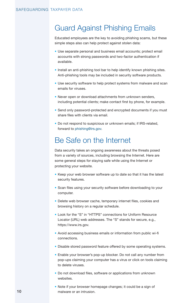### <span id="page-9-0"></span>Guard Against Phishing Emails

Educated employees are the key to avoiding phishing scams, but these simple steps also can help protect against stolen data:

- Use separate personal and business email accounts; protect email accounts with strong passwords and two-factor authentication if available.
- Install an anti-phishing tool bar to help identify known phishing sites. Anti-phishing tools may be included in security software products.
- Use security software to help protect systems from malware and scan emails for viruses.
- Never open or download attachments from unknown senders, including potential clients; make contact first by phone, for example.
- Send only password-protected and encrypted documents if you must share files with clients via email.
- Do not respond to suspicious or unknown emails; if IRS-related, forward to [phishing@irs.gov](mailto:phishing%40irs.gov?subject=).

### Be Safe on the Internet

Data security takes an ongoing awareness about the threats posed from a variety of sources, including browsing the Internet. Here are some general steps for staying safe while using the Internet or protecting your website.

- Keep your web browser software up to date so that it has the latest security features.
- Scan files using your security software before downloading to your computer.
- Delete web browser cache, temporary internet files, cookies and browsing history on a regular schedule.
- Look for the "S" in "HTTPS" connections for Uniform Resource Locator (URL) web addresses. The "S" stands for secure, e.g., https://www.irs.gov.
- Avoid accessing business emails or information from public wi-fi connections.
- Disable stored password feature offered by some operating systems.
- Enable your browser's pop-up blocker. Do not call any number from pop-ups claiming your computer has a virus or click on tools claiming to delete viruses.
- Do not download files, software or applications from unknown websites.
- Note if your browser homepage changes; it could be a sign of malware or an intrusion.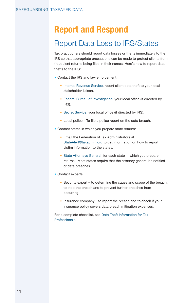# <span id="page-10-0"></span>**Report and Respond**

### Report Data Loss to IRS/States

Tax practitioners should report data losses or thefts immediately to the IRS so that appropriate precautions can be made to protect clients from fraudulent returns being filed in their names. Here's how to report data thefts to the IRS:

- Contact the IRS and law enforcement:
	- [Internal Revenue Service](https://www.irs.gov/businesses/small-businesses-self-employed/stakeholder-liaison-local-contacts-1), report client data theft to your local stakeholder liaison.
	- [Federal Bureau of Investigation,](https://www.fbi.gov/contact-us/field-offices) your local office (if directed by IRS).
	- [Secret Service,](http://www.secretservice.gov/contact/field-offices/) your local office (if directed by IRS).
	- Local police To file a police report on the data breach.
- Contact states in which you prepare state returns:
	- Email the Federation of Tax Administrators at [StateAlert@taxadmin.org](mailto:StateAlert%40taxadmin.org?subject=) to get information on how to report victim information to the states.
	- [State Attorneys General](http://www.naag.org/naag/attorneys-general/whos-my-ag.php) for each state in which you prepare returns. Most states require that the attorney general be notified of data breaches.
- Contact experts:
	- Security expert to determine the cause and scope of the breach, to stop the breach and to prevent further breaches from occurring.
	- Insurance company to report the breach and to check if your insurance policy covers data breach mitigation expenses.

For a complete checklist, see [Data Theft Information for Tax](https://www.irs.gov/individuals/data-theft-information-for-tax-professionals)  [Professionals.](https://www.irs.gov/individuals/data-theft-information-for-tax-professionals)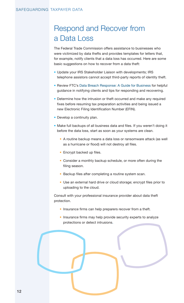### <span id="page-11-0"></span>Respond and Recover from a Data Loss

The Federal Trade Commission offers assistance to businesses who were victimized by data thefts and provides templates for letters that, for example, notify clients that a data loss has occurred. Here are some basic suggestions on how to recover from a data theft:

- Update your IRS Stakeholder Liaison with developments; IRS telephone assistors cannot accept third-party reports of identity theft.
- Review FTC's [Data Breach Response: A Guide for Business](https://www.ftc.gov/tips-advice/business-center/guidance/data-breach-response-guide-business) for helpful guidance in notifying clients and tips for responding and recovering.
- Determine how the intrusion or theft occurred and make any required fixes before resuming tax preparation activities and being issued a new Electronic Filing Identification Number (EFIN).
- Develop a continuity plan.
- Make full backups of all business data and files. If you weren't doing it before the data loss, start as soon as your systems are clean.
	- A routine backup means a data loss or ransomware attack (as well as a hurricane or flood) will not destroy all files.
	- Encrypt backed up files.
	- Consider a monthly backup schedule, or more often during the filing season.
	- Backup files after completing a routine system scan.
	- Use an external hard drive or cloud storage; encrypt files prior to uploading to the cloud.

Consult with your professional insurance provider about data theft protection.

- Insurance firms can help preparers recover from a theft.
- Insurance firms may help provide security experts to analyze protections or detect intrusions.

12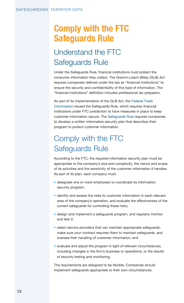# <span id="page-12-0"></span>**Comply with the FTC Safeguards Rule**

# Understand the FTC Safeguards Rule

Under the Safeguards Rule, financial institutions must protect the consumer information they collect. The Gramm-Leach-Bliley (GLB) Act requires companies defined under the law as "financial institutions" to ensure the security and confidentiality of this type of information. The "financial institutions" definition includes professional tax preparers.

As part of its implementation of the GLB Act, the [Federal Trade](http://www.ftc.gov)  [Commission](http://www.ftc.gov) issued the Safeguards Rule, which requires financial institutions under FTC jurisdiction to have measures in place to keep customer information secure. The [Safeguards Rule](https://www.ftc.gov/tips-advice/business-center/guidance/financial-institutions-customer-information-complying) requires companies to develop a written information security plan that describes their program to protect customer information.

# Comply with the FTC Safeguards Rule

According to the FTC, the required information security plan must be appropriate to the company's size and complexity, the nature and scope of its activities and the sensitivity of the customer information it handles. As part of its plan, each company must:

- designate one or more employees to coordinate its information security program;
- identify and assess the risks to customer information in each relevant area of the company's operation, and evaluate the effectiveness of the current safeguards for controlling these risks;
- design and implement a safeguards program, and regularly monitor and test it;
- select service providers that can maintain appropriate safeguards, make sure your contract requires them to maintain safeguards, and oversee their handling of customer information; and
- evaluate and adjust the program in light of relevant circumstances, including changes in the firm's business or operations, or the results of security testing and monitoring.

The requirements are designed to be flexible. Companies should implement safeguards appropriate to their own circumstances.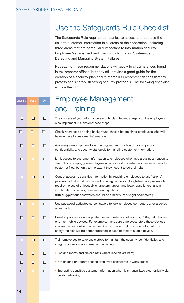### <span id="page-13-0"></span>Use the Safeguards Rule Checklist

The Safeguards Rule requires companies to assess and address the risks to customer information in all areas of their operation, including three areas that are particularly important to information security: Employee Management and Training; Information Systems; and Detecting and Managing System Failures.

Not each of these recommendations will apply to circumstances found in tax preparer offices, but they still provide a good guide for the creation of a security plan and reinforce IRS recommendations that tax professionals establish strong security protocols. The following checklist is from the FTC.

| <b>ONGOING</b> | <b>DONE</b> | N/A    | <b>Employee Management</b>                                                                                                                                                                                                                                                                                                                                                   |
|----------------|-------------|--------|------------------------------------------------------------------------------------------------------------------------------------------------------------------------------------------------------------------------------------------------------------------------------------------------------------------------------------------------------------------------------|
|                |             |        | and Training                                                                                                                                                                                                                                                                                                                                                                 |
| П              | □           | □      | The success of your information security plan depends largely on the employees<br>who implement it. Consider these steps:                                                                                                                                                                                                                                                    |
| ப              | $\Box$      | $\Box$ | Check references or doing background checks before hiring employees who will<br>have access to customer information.                                                                                                                                                                                                                                                         |
| П              | П           | п      | Ask every new employee to sign an agreement to follow your company's<br>confidentiality and security standards for handling customer information.                                                                                                                                                                                                                            |
| П              | П           | П      | Limit access to customer information to employees who have a business reason to<br>see it. For example, give employees who respond to customer inquiries access to<br>customer files, but only to the extent they need it to do their jobs.                                                                                                                                  |
| П              | □           | п      | Control access to sensitive information by requiring employees to use "strong"<br>passwords that must be changed on a regular basis. (Tough-to-crack passwords<br>require the use of at least six characters, upper- and lower-case letters, and a<br>combination of letters, numbers, and symbols.)<br>(IRS suggestion: passwords should be a minimum of eight characters.) |
| □              | П           | $\Box$ | Use password-activated screen savers to lock employee computers after a period<br>of inactivity.                                                                                                                                                                                                                                                                             |
| Ш              | П           | п      | Develop policies for appropriate use and protection of laptops, PDAs, cell phones,<br>or other mobile devices. For example, make sure employees store these devices<br>in a secure place when not in use. Also, consider that customer information in<br>encrypted files will be better protected in case of theft of such a device.                                         |
| П              | $\Box$      | $\Box$ | Train employees to take basic steps to maintain the security, confidentiality, and<br>integrity of customer information, including:                                                                                                                                                                                                                                          |
| Ш              | П           | П      | • Locking rooms and file cabinets where records are kept;                                                                                                                                                                                                                                                                                                                    |
| ш              | П           | П      | . Not sharing or openly posting employee passwords in work areas;                                                                                                                                                                                                                                                                                                            |
| Ш              | П           | П      | · Encrypting sensitive customer information when it is transmitted electronically via<br>public networks;                                                                                                                                                                                                                                                                    |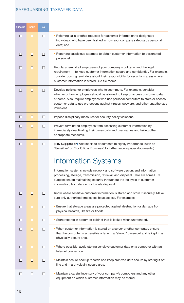<span id="page-14-0"></span>

| <b>ONGOING</b> | <b>DONE</b> | N/A |                                                                                                                                                                                                                                                                                                                                           |
|----------------|-------------|-----|-------------------------------------------------------------------------------------------------------------------------------------------------------------------------------------------------------------------------------------------------------------------------------------------------------------------------------------------|
| П              | $\Box$      | п   | • Referring calls or other requests for customer information to designated<br>individuals who have been trained in how your company safeguards personal<br>data; and                                                                                                                                                                      |
| п              | $\Box$      | П   | • Reporting suspicious attempts to obtain customer information to designated<br>personnel.                                                                                                                                                                                                                                                |
| ш              | $\Box$      | п   | Regularly remind all employees of your company's policy $-$ and the legal<br>requirement - to keep customer information secure and confidential. For example,<br>consider posting reminders about their responsibility for security in areas where<br>customer information is stored, like file rooms.                                    |
| $\Box$         | □           | П   | Develop policies for employees who telecommute. For example, consider<br>whether or how employees should be allowed to keep or access customer data<br>at home. Also, require employees who use personal computers to store or access<br>customer data to use protections against viruses, spyware, and other unauthorized<br>intrusions. |
| $\Box$         | ◻           | ⊔   | Impose disciplinary measures for security policy violations.                                                                                                                                                                                                                                                                              |
| $\mathsf{L}$   | $\Box$      | П   | Prevent terminated employees from accessing customer information by<br>immediately deactivating their passwords and user names and taking other<br>appropriate measures.                                                                                                                                                                  |
| □              | □           | □   | (IRS Suggestion: Add labels to documents to signify importance, such as<br>"Sensitive" or "For Official Business" to further secure paper documents.)                                                                                                                                                                                     |
|                |             |     | <b>Information Systems</b>                                                                                                                                                                                                                                                                                                                |
|                |             |     | Information systems include network and software design, and information<br>processing, storage, transmission, retrieval, and disposal. Here are some FTC<br>suggestions on maintaining security throughout the life cycle of customer<br>information, from data entry to data disposal:                                                  |
|                | ⊔           |     | Know where sensitive customer information is stored and store it securely. Make<br>sure only authorized employees have access. For example:                                                                                                                                                                                               |
|                | $\Box$      | ⊔   | • Ensure that storage areas are protected against destruction or damage from<br>physical hazards, like fire or floods.                                                                                                                                                                                                                    |
| H              | $\Box$      | □   | • Store records in a room or cabinet that is locked when unattended.                                                                                                                                                                                                                                                                      |
| П              | П           | П   | . When customer information is stored on a server or other computer, ensure<br>that the computer is accessible only with a "strong" password and is kept in a<br>physically-secure area.                                                                                                                                                  |
|                | $\Box$      | ⊔   | . Where possible, avoid storing sensitive customer data on a computer with an<br>Internet connection.                                                                                                                                                                                                                                     |
| ΙI             | ◘           | □   | . Maintain secure backup records and keep archived data secure by storing it off-<br>line and in a physically-secure area.                                                                                                                                                                                                                |
| П              | п           | □   | . Maintain a careful inventory of your company's computers and any other<br>equipment on which customer information may be stored.                                                                                                                                                                                                        |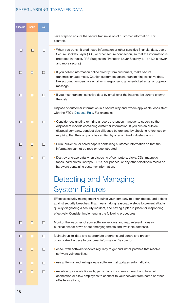<span id="page-15-0"></span>

| <b>ONGOING</b> | <b>DONE</b> | N/A    |                                                                                                                                                                                                                                                                                                                            |
|----------------|-------------|--------|----------------------------------------------------------------------------------------------------------------------------------------------------------------------------------------------------------------------------------------------------------------------------------------------------------------------------|
|                |             |        | Take steps to ensure the secure transmission of customer information. For<br>example:                                                                                                                                                                                                                                      |
| ш              | П           | П      | • When you transmit credit card information or other sensitive financial data, use a<br>Secure Sockets Layer (SSL) or other secure connection, so that the information is<br>protected in transit. (IRS Suggestion: Transport Layer Security 1.1 or 1.2 is newer<br>and more secure.)                                      |
| П              | $\Box$      | П      | . If you collect information online directly from customers, make secure<br>transmission automatic. Caution customers against transmitting sensitive data,<br>like account numbers, via email or in response to an unsolicited email or pop-up<br>message.                                                                 |
| П              | $\Box$      | П      | . If you must transmit sensitive data by email over the Internet, be sure to encrypt<br>the data.                                                                                                                                                                                                                          |
|                |             |        | Dispose of customer information in a secure way and, where applicable, consistent<br>with the FTC's Disposal Rule. For example:                                                                                                                                                                                            |
| П              | □           | П      | • Consider designating or hiring a records retention manager to supervise the<br>disposal of records containing customer information. If you hire an outside<br>disposal company, conduct due diligence beforehand by checking references or<br>requiring that the company be certified by a recognized industry group.    |
| П              | П           | п      | • Burn, pulverize, or shred papers containing customer information so that the<br>information cannot be read or reconstructed.                                                                                                                                                                                             |
| П              | П           | П      | • Destroy or erase data when disposing of computers, disks, CDs, magnetic<br>tapes, hard drives, laptops, PDAs, cell phones, or any other electronic media or<br>hardware containing customer information.                                                                                                                 |
|                |             |        | Detecting and Managing                                                                                                                                                                                                                                                                                                     |
|                |             |        | <b>System Failures</b>                                                                                                                                                                                                                                                                                                     |
|                |             |        | Effective security management requires your company to deter, detect, and defend<br>against security breaches. That means taking reasonable steps to prevent attacks,<br>quickly diagnosing a security incident, and having a plan in place for responding<br>effectively. Consider implementing the following procedures: |
| □              | □           | □      | Monitor the websites of your software vendors and read relevant industry<br>publications for news about emerging threats and available defenses.                                                                                                                                                                           |
| H              | ◘           | □      | Maintain up-to-date and appropriate programs and controls to prevent<br>unauthorized access to customer information. Be sure to:                                                                                                                                                                                           |
| ΙI             | ◘           | $\Box$ | • check with software vendors regularly to get and install patches that resolve<br>software vulnerabilities;                                                                                                                                                                                                               |
|                | П           | П      | · use anti-virus and anti-spyware software that updates automatically;                                                                                                                                                                                                                                                     |
|                | П           | П      | · maintain up-to-date firewalls, particularly if you use a broadband Internet<br>connection or allow employees to connect to your network from home or other<br>off-site locations;                                                                                                                                        |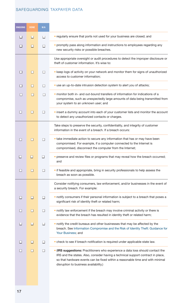| <b>ONGOING</b> | <b>DONE</b> | N/A    |                                                                                                                                                                                                                                                                                                |
|----------------|-------------|--------|------------------------------------------------------------------------------------------------------------------------------------------------------------------------------------------------------------------------------------------------------------------------------------------------|
|                | H           | H      | • regularly ensure that ports not used for your business are closed; and                                                                                                                                                                                                                       |
|                | H           | П      | • promptly pass along information and instructions to employees regarding any<br>new security risks or possible breaches.                                                                                                                                                                      |
|                |             |        | Use appropriate oversight or audit procedures to detect the improper disclosure or<br>theft of customer information. It's wise to:                                                                                                                                                             |
| П              | □           | П      | • keep logs of activity on your network and monitor them for signs of unauthorized<br>access to customer information;                                                                                                                                                                          |
| П              | П           | П      | • use an up-to-date intrusion detection system to alert you of attacks;                                                                                                                                                                                                                        |
| П              | П           | П      | • monitor both in- and out-bound transfers of information for indications of a<br>compromise, such as unexpectedly large amounts of data being transmitted from<br>your system to an unknown user; and                                                                                         |
| П              | П           | П      | • insert a dummy account into each of your customer lists and monitor the account<br>to detect any unauthorized contacts or charges.                                                                                                                                                           |
|                |             |        | Take steps to preserve the security, confidentiality, and integrity of customer<br>information in the event of a breach. If a breach occurs:                                                                                                                                                   |
| П              | □           | П      | • take immediate action to secure any information that has or may have been<br>compromised. For example, if a computer connected to the Internet is<br>compromised, disconnect the computer from the Internet;                                                                                 |
|                | П           | П      | • preserve and review files or programs that may reveal how the breach occurred;<br>and                                                                                                                                                                                                        |
| П              | $\Box$      | П      | • if feasible and appropriate, bring in security professionals to help assess the<br>breach as soon as possible.                                                                                                                                                                               |
|                |             |        | Consider notifying consumers, law enforcement, and/or businesses in the event of<br>a security breach. For example:                                                                                                                                                                            |
| □              | $\Box$      | $\Box$ | · notify consumers if their personal information is subject to a breach that poses a<br>significant risk of identity theft or related harm;                                                                                                                                                    |
| ⊔              | □           | □      | . notify law enforcement if the breach may involve criminal activity or there is<br>evidence that the breach has resulted in identity theft or related harm;                                                                                                                                   |
| $\Box$         | □           | □      | . notify the credit bureaus and other businesses that may be affected by the<br>breach. See Information Compromise and the Risk of Identity Theft: Guidance for<br>Your Business; and                                                                                                          |
| Ш              | □           | □      | • check to see if breach notification is required under applicable state law.                                                                                                                                                                                                                  |
| $\mathsf{L}$   | $\Box$      | $\Box$ | • (IRS suggestions: Practitioners who experience a data loss should contact the<br>IRS and the states. Also, consider having a technical support contract in place,<br>so that hardware events can be fixed within a reasonable time and with minimal<br>disruption to business availability.) |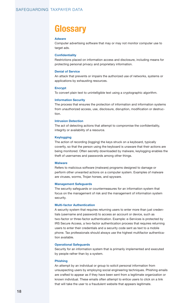# **Glossary**

#### **Adware**

Computer advertising software that may or may not monitor computer use to target ads.

#### **Confidentiality**

Restrictions placed on information access and disclosure, including means for protecting personal privacy and proprietary information.

#### **Denial of Service**

An attack that prevents or impairs the authorized use of networks, systems or applications by exhausting resources.

#### **Encrypt**

To convert plain text to unintelligible text using a cryptographic algorithm.

#### **Information Security**

The process that ensures the protection of information and information systems from unauthorized access, use, disclosure, disruption, modification or destruction.

#### **Intrusion Detection**

The act of detecting actions that attempt to compromise the confidentiality, integrity or availability of a resource.

#### **Keylogging**

The action of recording (logging) the keys struck on a keyboard, typically covertly, so that the person using the keyboard is unaware that their actions are being monitored. Often secretly downloaded by malware, keylogging enables the theft of usernames and passwords among other things.

#### **Malware**

Refers to malicious software (malware) programs designed to damage or perform other unwanted actions on a computer system. Examples of malware are viruses, worms, Trojan horses, and spyware.

#### **Management Safeguards**

The security safeguards or countermeasures for an information system that focus on the management of risk and the management of information system security.

#### **Multi-factor Authentication**

A security system that requires returning users to enter more than just credentials (username and password) to access an account or device, such as two-factor or three-factor authentication. Example: e-Services is protected by IRS Secure Access, a two-factor authentication process that requires returning users to enter their credentials and a security code sent as text to a mobile phone. Tax professionals should always use the highest multifactor authentication available.

#### **Operational Safeguards**

Security for an information system that is primarily implemented and executed by people rather than by a system.

#### **Phishing**

An attempt by an individual or group to solicit personal information from unsuspecting users by employing social engineering techniques. Phishing emails are crafted to appear as if they have been sent from a legitimate organization or known individual. These emails often attempt to entice users to click on a link that will take the user to a fraudulent website that appears legitimate.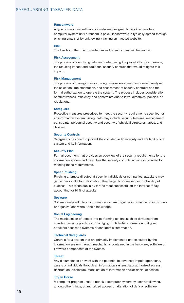#### **Ransomware**

A type of malicious software, or malware, designed to block access to a computer system until a ransom is paid. Ransomware is typically spread through phishing emails or by unknowingly visiting an infected website.

#### **Risk**

The likelihood that the unwanted impact of an incident will be realized.

#### **Risk Assessment**

The process of identifying risks and determining the probability of occurrence, the resulting impact and additional security controls that would mitigate this impact.

#### **Risk Management**

The process of managing risks through risk assessment; cost-benefit analysis; the selection, implementation, and assessment of security controls; and the formal authorization to operate the system. The process includes consideration of effectiveness, efficiency and constraints due to laws, directives, policies, or regulations.

#### **Safeguard**

Protective measures prescribed to meet the security requirements specified for an information system. Safeguards may include security features, management constraints, personnel security and security of physical structures, areas, and devices.

#### **Security Controls**

Safeguards designed to protect the confidentiality, integrity and availability of a system and its information.

#### **Security Plan**

Formal document that provides an overview of the security requirements for the information system and describes the security controls in place or planned for meeting those requirements.

#### **Spear Phishing**

Phishing attempts directed at specific individuals or companies; attackers may gather personal information about their target to increase their probability of success. This technique is by far the most successful on the Internet today, accounting for 91% of attacks

#### **Spyware**

Software installed into an information system to gather information on individuals or organizations without their knowledge.

#### **Social Engineering**

The manipulation of people into performing actions such as deviating from standard security practices or divulging confidential information that give attackers access to systems or confidential information.

#### **Technical Safeguards**

Controls for a system that are primarily implemented and executed by the information system through mechanisms contained in the hardware, software or firmware components of the system.

#### **Threat**

Any circumstance or event with the potential to adversely impact operations, assets or individuals through an information system via unauthorized access, destruction, disclosure, modification of information and/or denial of service.

#### **Trojan Horse**

A computer program used to attack a computer system by secretly allowing, among other things, unauthorized access or alteration of data or software.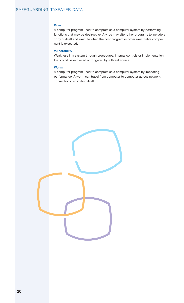#### **Virus**

A computer program used to compromise a computer system by performing functions that may be destructive. A virus may alter other programs to include a copy of itself and execute when the host program or other executable component is executed.

#### **Vulnerability**

Weakness in a system through procedures, internal controls or implementation that could be exploited or triggered by a threat source.

#### **Worm**

A computer program used to compromise a computer system by impacting performance. A worm can travel from computer to computer across network connections replicating itself.